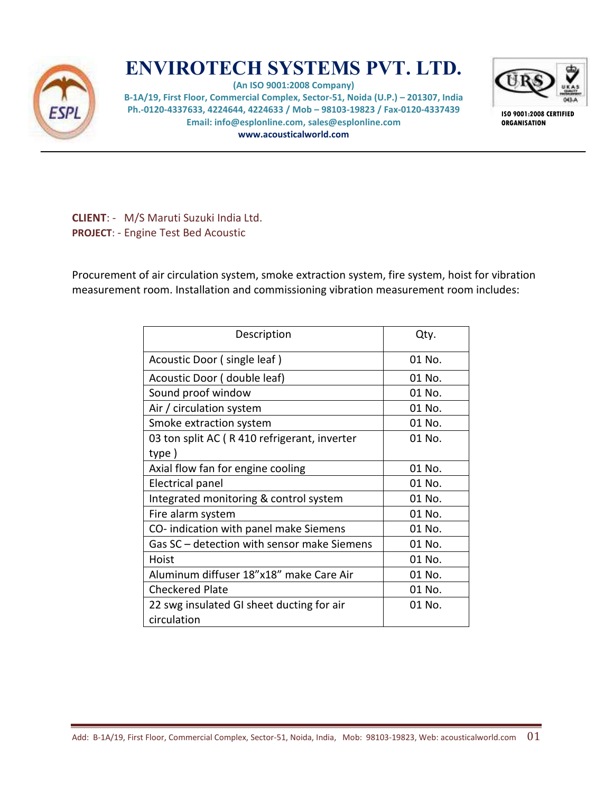

## **ENVIROTECH SYSTEMS PVT. LTD.**

**(An ISO 9001:2008 Company) B-1A/19, First Floor, Commercial Complex, Sector-51, Noida (U.P.) – 201307, India Ph.-0120-4337633, 4224644, 4224633 / Mob – 98103-19823 / Fax-0120-4337439 Email: info@esplonline.com, sales@esplonline.com www.acousticalworld.com** 



**ISO 9001:2008 CERTIFIED ORGANISATION** 

**CLIENT**: - M/S Maruti Suzuki India Ltd. **PROJECT**: - Engine Test Bed Acoustic

Procurement of air circulation system, smoke extraction system, fire system, hoist for vibration measurement room. Installation and commissioning vibration measurement room includes:

| Description                                 | Qty.   |
|---------------------------------------------|--------|
| Acoustic Door (single leaf)                 | 01 No. |
| Acoustic Door (double leaf)                 | 01 No. |
| Sound proof window                          | 01 No. |
| Air / circulation system                    | 01 No. |
| Smoke extraction system                     | 01 No. |
| 03 ton split AC (R410 refrigerant, inverter | 01 No. |
| type)                                       |        |
| Axial flow fan for engine cooling           | 01 No. |
| <b>Electrical panel</b>                     | 01 No. |
| Integrated monitoring & control system      | 01 No. |
| Fire alarm system                           | 01 No. |
| CO-indication with panel make Siemens       | 01 No. |
| Gas SC - detection with sensor make Siemens | 01 No. |
| Hoist                                       | 01 No. |
| Aluminum diffuser 18"x18" make Care Air     | 01 No. |
| <b>Checkered Plate</b>                      | 01 No. |
| 22 swg insulated GI sheet ducting for air   | 01 No. |
| circulation                                 |        |